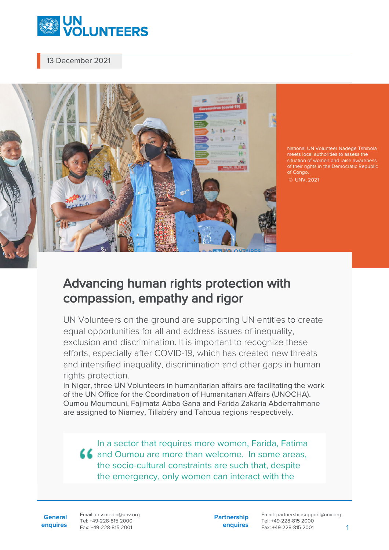

13 December 2021



National UN Volunteer Nadege Tshibola meets local authorities to assess the situation of women and raise awareness of their rights in the Democratic Republic of Congo. © UNV, 2021

## Advancing human rights protection with compassion, empathy and rigor

UN Volunteers on the ground are supporting UN entities to create equal opportunities for all and address issues of inequality, exclusion and discrimination. It is important to recognize these efforts, especially after COVID-19, which has created new threats and intensified inequality, discrimination and other gaps in human rights protection.

In Niger, three UN Volunteers in humanitarian affairs are facilitating the work of the UN Office for the Coordination of Humanitarian Affairs (UNOCHA). Oumou Moumouni, Fajimata Abba Gana and Farida Zakaria Abderrahmane are assigned to Niamey, Tillabéry and Tahoua regions respectively.

In a sector that requires more women, Farida, Fatima **LL** and Oumou are more than welcome. In some areas, the socio-cultural constraints are such that, despite the emergency, only women can interact with the

**General enquires** Email: unv.media@unv.org Tel: +49-228-815 2000 Fax: +49-228-815 2001

**Partnership enquires** Email: partnershipsupport@unv.org Tel: +49-228-815 2000 Fax: +49-228-815 2001 1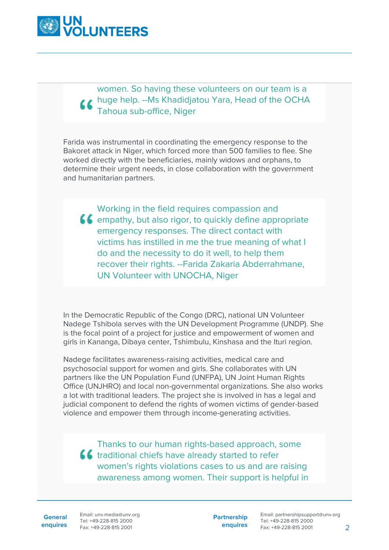

## women. So having these volunteers on our team is a **LA** huge help. --Ms Khadidjatou Yara, Head of the OCHA Tahoua sub-office, Niger

Farida was instrumental in coordinating the emergency response to the Bakoret attack in Niger, which forced more than 500 families to flee. She worked directly with the beneficiaries, mainly widows and orphans, to determine their urgent needs, in close collaboration with the government and humanitarian partners.

Working in the field requires compassion and  $\epsilon$  empathy, but also rigor, to quickly define appropriate emergency responses. The direct contact with victims has instilled in me the true meaning of what I do and the necessity to do it well, to help them recover their rights. --Farida Zakaria Abderrahmane, UN Volunteer with UNOCHA, Niger

In the Democratic Republic of the Congo (DRC), national UN Volunteer Nadege Tshibola serves with the UN Development Programme (UNDP). She is the focal point of a project for justice and empowerment of women and girls in Kananga, Dibaya center, Tshimbulu, Kinshasa and the Ituri region.

Nadege facilitates awareness-raising activities, medical care and psychosocial support for women and girls. She collaborates with UN partners like the UN Population Fund (UNFPA), UN Joint Human Rights Office (UNJHRO) and local non-governmental organizations. She also works a lot with traditional leaders. The project she is involved in has a legal and judicial component to defend the rights of women victims of gender-based violence and empower them through income-generating activities.

Thanks to our human rights-based approach, some **ff** traditional chiefs have already started to refer women's rights violations cases to us and are raising awareness among women. Their support is helpful in

**General**

**enquires** Fax: +49-228-815 2001 Email: unv.media@unv.org Tel: +49-228-815 2000

**Partnership enquires**

Email: partnershipsupport@unv.org Tel: +49-228-815 2000 Fax: +49-228-815 2001 2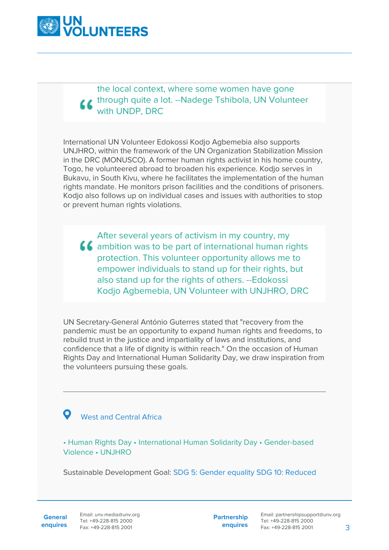

the local context, where some women have gone through quite a lot. --Nadege Tshibola, UN Volunteer with UNDP, DRC

International UN Volunteer Edokossi Kodjo Agbemebia also supports UNJHRO, within the framework of the UN Organization Stabilization Mission in the DRC (MONUSCO). A former human rights activist in his home country, Togo, he volunteered abroad to broaden his experience. Kodjo serves in Bukavu, in South Kivu, where he facilitates the implementation of the human rights mandate. He monitors prison facilities and the conditions of prisoners. Kodjo also follows up on individual cases and issues with authorities to stop or prevent human rights violations.

After several years of activism in my country, my  $\blacksquare$  ambition was to be part of international human rights protection. This volunteer opportunity allows me to empower individuals to stand up for their rights, but also stand up for the rights of others. --Edokossi Kodjo Agbemebia, UN Volunteer with UNJHRO, DRC

UN Secretary-General António Guterres stated that "recovery from the pandemic must be an opportunity to expand human rights and freedoms, to rebuild trust in the justice and impartiality of laws and institutions, and confidence that a life of dignity is within reach." On the occasion of Human Rights Day and International Human Solidarity Day, we draw inspiration from the volunteers pursuing these goals.

## West and Central Africa

• Human Rights Day • International Human Solidarity Day • Gender-based Violence • UNJHRO

Sustainable Development Goal: SDG 5: Gender equality SDG 10: Reduced

**General**

**Partnership enquires**